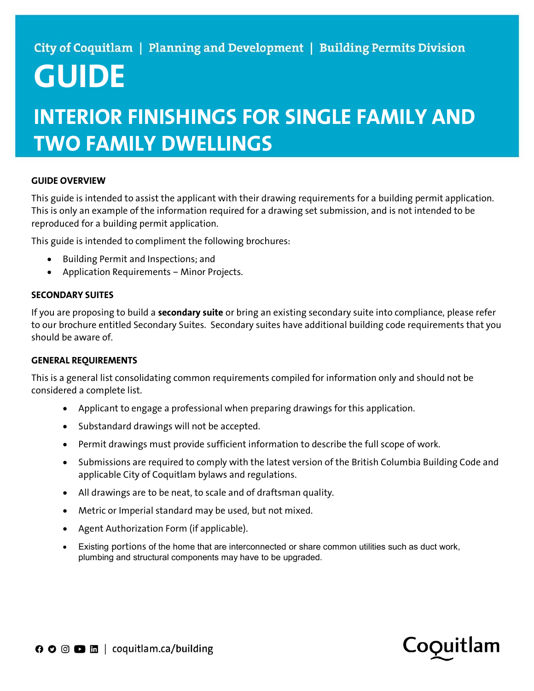# GUIDE

# INTERIOR FINISHINGS FOR SINGLE FAMILY AND TWO FAMILY DWELLINGS

# GUIDE OVERVIEW

This guide is intended to assist the applicant with their drawing requirements for a building permit application. This is only an example of the information required for a drawing set submission, and is not intended to be reproduced for a building permit application.

This guide is intended to compliment the following brochures:

- Building Permit and Inspections; and
- Application Requirements Minor Projects.

#### SECONDARY SUITES

If you are proposing to build a **secondary suite** or bring an existing secondary suite into compliance, please refer to our brochure entitled Secondary Suites. Secondary suites have additional building code requirements that you should be aware of.

#### GENERAL REQUIREMENTS

This is a general list consolidating common requirements compiled for information only and should not be considered a complete list.

- Applicant to engage a professional when preparing drawings for this application.
- Substandard drawings will not be accepted.
- Permit drawings must provide sufficient information to describe the full scope of work.
- Submissions are required to comply with the latest version of the British Columbia Building Code and applicable City of Coquitlam bylaws and regulations.
- All drawings are to be neat, to scale and of draftsman quality.
- Metric or Imperial standard may be used, but not mixed.
- Agent Authorization Form (if applicable).
- Existing portions of the home that are interconnected or share common utilities such as duct work, plumbing and structural components may have to be upgraded.

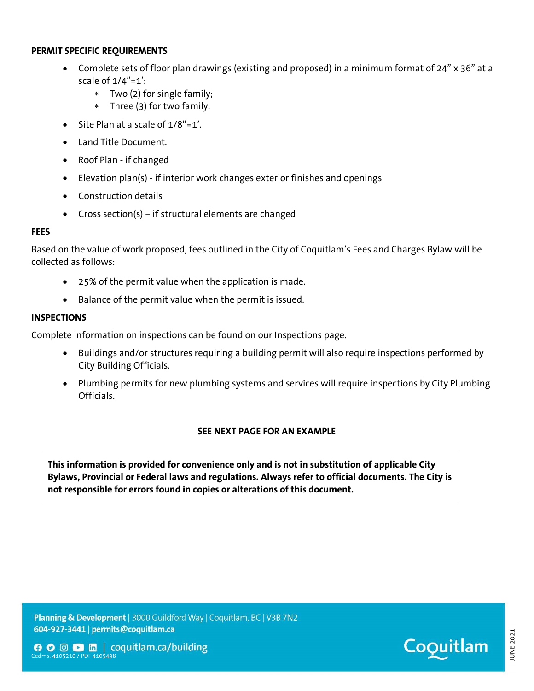#### PERMIT SPECIFIC REQUIREMENTS

- Complete sets of floor plan drawings (existing and proposed) in a minimum format of 24" x 36" at a scale of 1/4"=1':
	- Two (2) for single family;
	- Three (3) for two family.
- $\bullet$  Site Plan at a scale of  $1/8$ "=1'.
- Land Title Document.
- Roof Plan if changed
- Elevation plan(s) if interior work changes exterior finishes and openings
- Construction details
- Cross section(s) if structural elements are changed

#### **FEES**

Based on the value of work proposed, fees outlined in the City of Coquitlam's Fees and Charges Bylaw will be collected as follows:

- 25% of the permit value when the application is made.
- Balance of the permit value when the permit is issued.

# **INSPECTIONS**

Complete information on inspections can be found on our Inspections page.

- Buildings and/or structures requiring a building permit will also require inspections performed by City Building Officials.
- Plumbing permits for new plumbing systems and services will require inspections by City Plumbing Officials.

# SEE NEXT PAGE FOR AN EXAMPLE

This information is provided for convenience only and is not in substitution of applicable City Bylaws, Provincial or Federal laws and regulations. Always refer to official documents. The City is not responsible for errors found in copies or alterations of this document.

Planning & Development | 3000 Guildford Way | Coquitlam, BC | V3B 7N2